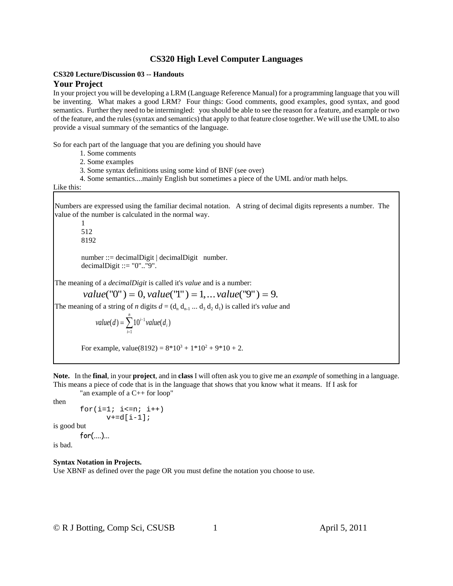### **CS320 Lecture/Discussion 03 -- Handouts Your Project**

## In your project you will be developing a LRM (Language Reference Manual) for a programming language that you will be inventing. What makes a good LRM? Four things: Good comments, good examples, good syntax, and good semantics. Further they need to be intermingled: you should be able to see the reason for a feature, and example or two of the feature, and the rules (syntax and semantics) that apply to that feature close together. We will use the UML to also provide a visual summary of the semantics of the language.

So for each part of the language that you are defining you should have

- 1. Some comments
- 2. Some examples
- 3. Some syntax definitions using some kind of BNF (see over)
- 4. Some semantics....mainly English but sometimes a piece of the UML and/or math helps.

### Like this:

Numbers are expressed using the familiar decimal notation. A string of decimal digits represents a number. The value of the number is calculated in the normal way.

1 512 8192 number ::= decimalDigit | decimalDigit number.

decimalDigit ::=  $"0"$ .."9".

The meaning of a *decimalDigit* is called it's *value* and is a number:

 $value("0") = 0, value("1") = 1, ... value("9") = 9.$ 

The meaning of a string of *n* digits  $d = (d_n d_{n-1} ... d_3 d_2 d_1)$  is called it's *value* and

value(
$$
d
$$
) =  $\sum_{i=1}^{n} 10^{i-1}$  value( $d_i$ )

For example, value $(8192) = 8*10^3 + 1*10^2 + 9*10 + 2$ .

**Note.** In the **final**, in your **project**, and in **class** I will often ask you to give me an *example* of something in a language. This means a piece of code that is in the language that shows that you know what it means. If I ask for

```
"an example of a C++ for loop"
```
then

```
for(i=1; i<=n; i++)v+=d[i-1];
```
is good but

```
for(....)...
```
is bad.

# **Syntax Notation in Projects.**

Use XBNF as defined over the page OR you must define the notation you choose to use.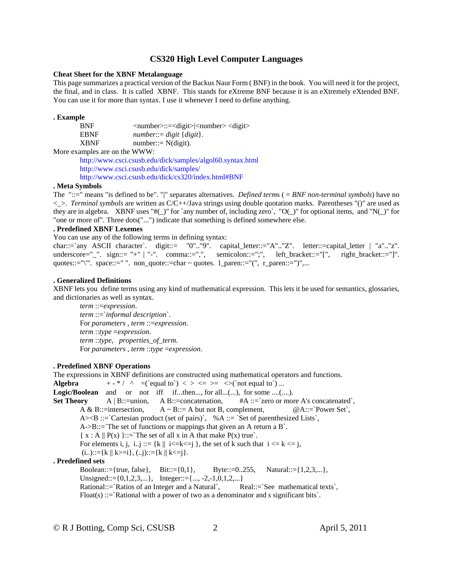#### **Cheat Sheet for the XBNF Metalanguage**

This page summarizes a practical version of the Backus Naur Form ( BNF) in the book. You will need it for the project, the final, and in class. It is called XBNF. This stands for eXtreme BNF because it is an eXtremely eXtended BNF. You can use it for more than syntax. I use it whenever I need to define anything.

### **. Example**

BNF <number>::=<digit>|<number> <digit> EBNF *number*::= *digit* { *digit* }.  $XBNF$  number::=  $N(digit)$ .

More examples are on the WWW:

http://www.csci.csusb.edu/dick/samples/algol60.syntax.html http://www.csci.csusb.edu/dick/samples/ http://www.csci.csusb.edu/dick/cs320/index.html#BNF

#### **. Meta Symbols**

The "::=" means "is defined to be". "|" separates alternatives. *Defined term*s ( = *BNF non-terminal symbols*) have no <\_>. *Terminal symbols* are written as C/C++/Java strings using double quotation marks. Parentheses "()" are used as they are in algebra. XBNF uses "#(\_)" for `any number of, including zero`, "O(\_)" for optional items, and "N(\_)" for "one or more of". Three dots("...") indicate that something is defined somewhere else.

### **. Predefined XBNF Lexemes**

You can use any of the following terms in defining syntax:

char::=`any ASCII character`. digit::= "0".."9". capital\_letter::="A".."Z". letter::=capital\_letter | "a".."z". underscore="\_". sign::= "+" | "-". comma::=",", semicolon::=";", left\_bracket::="[", right\_bracket::="]". quotes::="\"'. space::=" ". non\_quote::=char ~ quotes. l\_paren::="(", r\_paren::=")",...

#### **. Generalized Definitions**

XBNF lets you define terms using any kind of mathematical expression. This lets it be used for semantics, glossaries, and dictionaries as well as syntax.

*term* ::=*expression*. *term* ::=`*informal description*`. For *parameters* , *term* ::=*expression*. *term* ::*type* =*expression*. *term* ::*type*, *properties\_of\_term.* For *parameters* , *term* ::*type* =*expression*.

## **. Predefined XBNF Operations**

The expressions in XBNF definitions are constructed using mathematical operators and functions. **Algebra**  $+ -$ <sup>\*</sup>/  $\land$  =(`equal to`) < > <= >= <>(`not equal to`) ... **Logic/Boolean** and or not iff if...then..., for all...(...), for some ....(....). **Set Theory** A | B::=union, A B::=concatenation, #A ::=`zero or more A's concatenated`, A & B::=intersection,  $A \sim B$ ::= A but not B, complement,  $@A::=`Power Set`$ ,  $A \ge B ::=$  Cartesian product (set of pairs), %A ::= `Set of parenthesized Lists`, A->B::=`The set of functions or mappings that given an A return a B`.  $\{ x : A \parallel P(x) \} ::=$  The set of all x in A that make  $P(x)$  true. For elements i, j, i..j ::= {k || i<= k <= j}, the set of k such that  $i \le k \le j$ ,  $(i...):=\{k \mid k>=i\}, (i...):=\{k \mid k<=i\}.$ **. Predefined sets** Boolean::={true, false}, Bit::={0,1}, Byte::=0..255, Natural::={1,2,3,...}, Unsigned::={0,1,2,3,...}, Integer::={..., -2,-1,0,1,2,...} Rational::=`Ratios of an Integer and a Natural`, Real::=`See mathematical texts`,

Float(s) ::=`Rational with a power of two as a denominator and *s* significant bits`.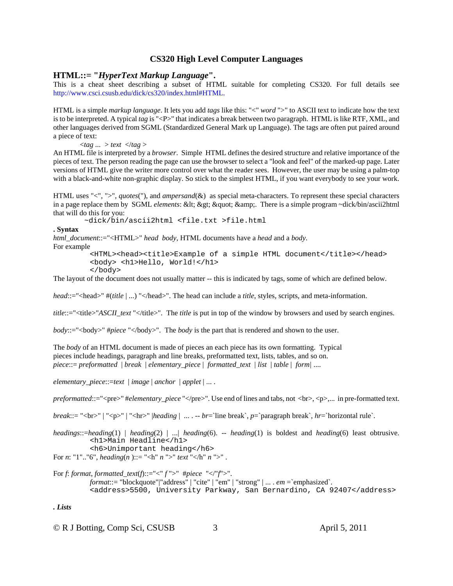## **HTML::= "***HyperText Markup Language***".**

This is a cheat sheet describing a subset of HTML suitable for completing CS320. For full details see http://www.csci.csusb.edu/dick/cs320/index.html#HTML.

HTML is a simple *markup language*. It lets you add *tags* like this: "<" *word* ">" to ASCII text to indicate how the text is to be interpreted. A typical *tag* is "<P>" that indicates a break between two paragraph. HTML is like RTF, XML, and other languages derived from SGML (Standardized General Mark up Language). The tags are often put paired around a piece of text:

<*tag ...* > *text* </*tag* >

An HTML file is interpreted by a *browser*. Simple HTML defines the desired structure and relative importance of the pieces of text. The person reading the page can use the browser to select a "look and feel" of the marked-up page. Later versions of HTML give the writer more control over what the reader sees. However, the user may be using a palm-top with a black-and-white non-graphic display. So stick to the simplest HTML, if you want everybody to see your work.

HTML uses "<", ">", *quotes*("), and *ampersand*( $\&$ ) as special meta-characters. To represent these special characters in a page replace them by SGML *elements*: < &gt; &quot; &amp;. There is a simple program ~dick/bin/ascii2html that will do this for you:

~dick/bin/ascii2html <file.txt >file.html

**. Syntax**

*html\_document*::="<HTML>" *head body*, HTML documents have a *head* and a *body*.

For example

```
<HTML><head><title>Example of a simple HTML document</title></head>
<body> <h1>Hello, World!</h1>
</body>
```
The layout of the document does not usually matter -- this is indicated by tags, some of which are defined below.

*head*::="<head>" #(*title* | ...) "</head>". The head can include a *title*, styles*,* scripts, and meta-information.

*title*::="<title>"*ASCII\_text* "</title>". The *title* is put in top of the window by browsers and used by search engines.

*body*::="<br/>body>" #*piece* "</body>". The *body* is the part that is rendered and shown to the user.

The *body* of an HTML document is made of pieces an each piece has its own formatting. Typical pieces include headings, paragraph and line breaks, preformatted text, lists, tables, and so on. *piece*::= *preformatted* | *break* | *elementary\_piece* | *formatted\_text* | *list* | *table* | *form|* ....

*elementary\_piece*::=*text* | *image* | *anchor* | *applet* | ... .

*preformatted*::="<pre>" #*elementary\_piece* "</pre>". Use end of lines and tabs, not <br>, <p>,... in pre-formatted text.

*break*::= "<br>" | "<p>" | "<hr>" |*heading* | ... . -- *br*=`line break`, *p*=`paragraph break`, *hr*=`horizontal rule`.

*headings*::=*heading*(1) | *heading*(2) | *.*..| *heading*(6). -- *heading*(1) is boldest and *heading*(6) least obtrusive. <h1>Main Headline</h1> <h6>Unimportant heading</h6>

For *n*: "1".."6", *heading(n)*::= "<h" *n* ">" *text* "</h" *n* ">".

For *f*: *format*, *formatted\_text*(*f*)::="<" *f* ">" #*piece* "</"*f*">". *format*::= "blockquote"|"address" | "cite" | "em" | "strong" | ... . *em* =`emphasized`. <address>5500, University Parkway, San Bernardino, CA 92407</address>

*. Lists*

© R J Botting, Comp Sci, CSUSB 3 April 5, 2011